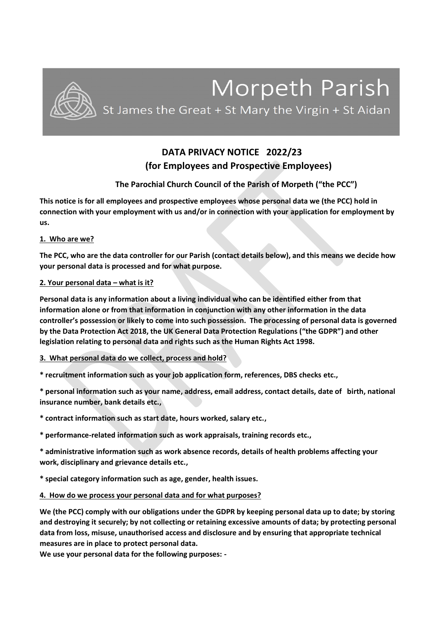

# **DATA PRIVACY NOTICE 2022/23 (for Employees and Prospective Employees)**

# **The Parochial Church Council of the Parish of Morpeth ("the PCC")**

**This notice is for all employees and prospective employees whose personal data we (the PCC) hold in connection with your employment with us and/or in connection with your application for employment by us.**

## **1. Who are we?**

**The PCC, who are the data controller for our Parish (contact details below), and this means we decide how your personal data is processed and for what purpose.**

# **2. Your personal data – what is it?**

**Personal data is any information about a living individual who can be identified either from that information alone or from that information in conjunction with any other information in the data controller's possession or likely to come into such possession. The processing of personal data is governed by the Data Protection Act 2018, the UK General Data Protection Regulations ("the GDPR") and other legislation relating to personal data and rights such as the Human Rights Act 1998.** 

# **3. What personal data do we collect, process and hold?**

**\* recruitment information such as your job application form, references, DBS checks etc.,**

**\* personal information such as your name, address, email address, contact details, date of birth, national insurance number, bank details etc.,** 

**\* contract information such as start date, hours worked, salary etc.,** 

**\* performance-related information such as work appraisals, training records etc.,** 

**\* administrative information such as work absence records, details of health problems affecting your work, disciplinary and grievance details etc.,**

**\* special category information such as age, gender, health issues.** 

## **4. How do we process your personal data and for what purposes?**

**We (the PCC) comply with our obligations under the GDPR by keeping personal data up to date; by storing and destroying it securely; by not collecting or retaining excessive amounts of data; by protecting personal data from loss, misuse, unauthorised access and disclosure and by ensuring that appropriate technical measures are in place to protect personal data.** 

**We use your personal data for the following purposes: -**